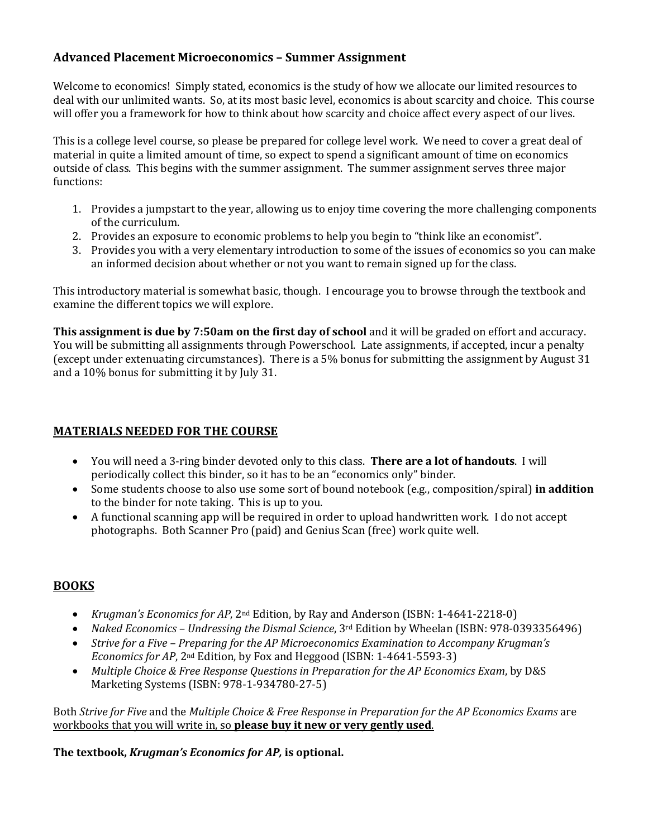### **Advanced Placement Microeconomics – Summer Assignment**

Welcome to economics! Simply stated, economics is the study of how we allocate our limited resources to deal with our unlimited wants. So, at its most basic level, economics is about scarcity and choice. This course will offer you a framework for how to think about how scarcity and choice affect every aspect of our lives.

This is a college level course, so please be prepared for college level work. We need to cover a great deal of material in quite a limited amount of time, so expect to spend a significant amount of time on economics outside of class. This begins with the summer assignment. The summer assignment serves three major functions:

- 1. Provides a jumpstart to the year, allowing us to enjoy time covering the more challenging components of the curriculum.
- 2. Provides an exposure to economic problems to help you begin to "think like an economist".
- 3. Provides you with a very elementary introduction to some of the issues of economics so you can make an informed decision about whether or not you want to remain signed up for the class.

This introductory material is somewhat basic, though. I encourage you to browse through the textbook and examine the different topics we will explore.

**This assignment is due by 7:50am on the first day of school and it will be graded on effort and accuracy.** You will be submitting all assignments through Powerschool. Late assignments, if accepted, incur a penalty (except under extenuating circumstances). There is a 5% bonus for submitting the assignment by August 31 and a 10% bonus for submitting it by July 31.

#### **MATERIALS NEEDED FOR THE COURSE**

- You will need a 3-ring binder devoted only to this class. **There are a lot of handouts**. I will periodically collect this binder, so it has to be an "economics only" binder.
- Some students choose to also use some sort of bound notebook (e.g., composition/spiral) in addition to the binder for note taking. This is up to you.
- A functional scanning app will be required in order to upload handwritten work. I do not accept photographs. Both Scanner Pro (paid) and Genius Scan (free) work quite well.

## **BOOKS**

- *Krugman's Economics for AP*, 2<sup>nd</sup> Edition, by Ray and Anderson (ISBN: 1-4641-2218-0)
- *Naked Economics Undressing the Dismal Science*, 3<sup>rd</sup> Edition by Wheelan (ISBN: 978-0393356496)
- *Strive for a Five Preparing for the AP Microeconomics Examination to Accompany Krugman's Economics for AP*, 2<sup>nd</sup> Edition, by Fox and Heggood (ISBN: 1-4641-5593-3)
- *Multiple Choice & Free Response Questions in Preparation for the AP Economics Exam, by D&S* Marketing Systems (ISBN: 978-1-934780-27-5)

Both *Strive* for Five and the *Multiple Choice & Free Response in Preparation for the AP Economics Exams* are workbooks that you will write in, so **please buy it new or very gently used**.

The textbook, *Krugman's Economics for AP*, is optional.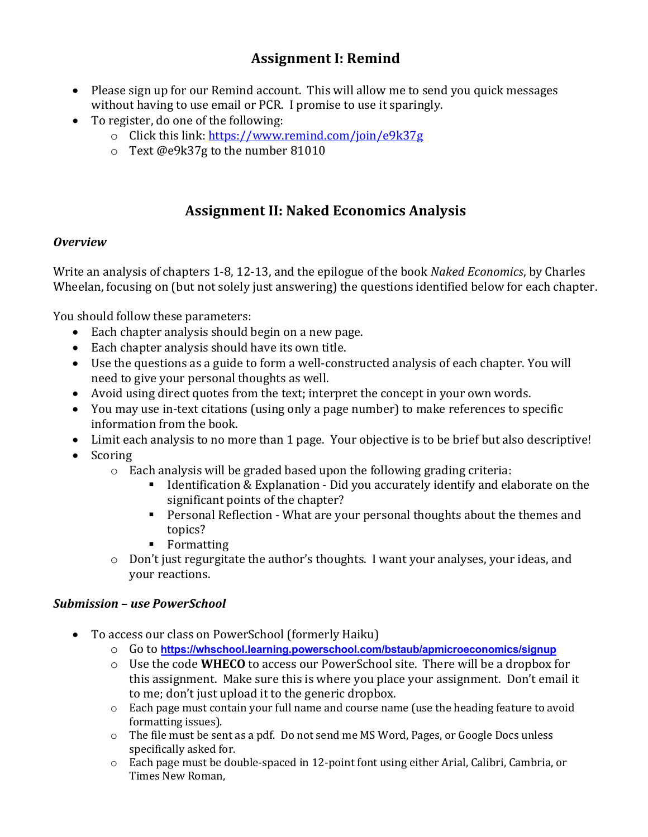## **Assignment I: Remind**

- Please sign up for our Remind account. This will allow me to send you quick messages without having to use email or PCR. I promise to use it sparingly.
- To register, do one of the following:
	- $\circ$  Click this link: https://www.remind.com/join/e9k37g
	- $\circ$  Text @e9k37g to the number 81010

# **Assignment II: Naked Economics Analysis**

## *Overview*

Write an analysis of chapters 1-8, 12-13, and the epilogue of the book *Naked Economics*, by Charles Wheelan, focusing on (but not solely just answering) the questions identified below for each chapter.

You should follow these parameters:

- $\bullet$  Each chapter analysis should begin on a new page.
- Each chapter analysis should have its own title.
- Use the questions as a guide to form a well-constructed analysis of each chapter. You will need to give your personal thoughts as well.
- Avoid using direct quotes from the text; interpret the concept in your own words.
- You may use in-text citations (using only a page number) to make references to specific information from the book.
- Limit each analysis to no more than 1 page. Your objective is to be brief but also descriptive!
- Scoring
	- $\circ$  Each analysis will be graded based upon the following grading criteria:
		- **•** Identification & Explanation Did you accurately identify and elaborate on the significant points of the chapter?
		- Personal Reflection What are your personal thoughts about the themes and topics?
		- § Formatting
	- $\circ$  Don't just regurgitate the author's thoughts. I want your analyses, your ideas, and your reactions.

## *Submission – use PowerSchool*

- To access our class on PowerSchool (formerly Haiku)
	- o Go to **https://whschool.learning.powerschool.com/bstaub/apmicroeconomics/signup**
	- o Use the code **WHECO** to access our PowerSchool site. There will be a dropbox for this assignment. Make sure this is where you place your assignment. Don't email it to me; don't just upload it to the generic dropbox.
	- o Each page must contain your full name and course name (use the heading feature to avoid formatting issues).
	- $\circ$  The file must be sent as a pdf. Do not send me MS Word, Pages, or Google Docs unless specifically asked for.
	- $\circ$  Each page must be double-spaced in 12-point font using either Arial, Calibri, Cambria, or Times New Roman,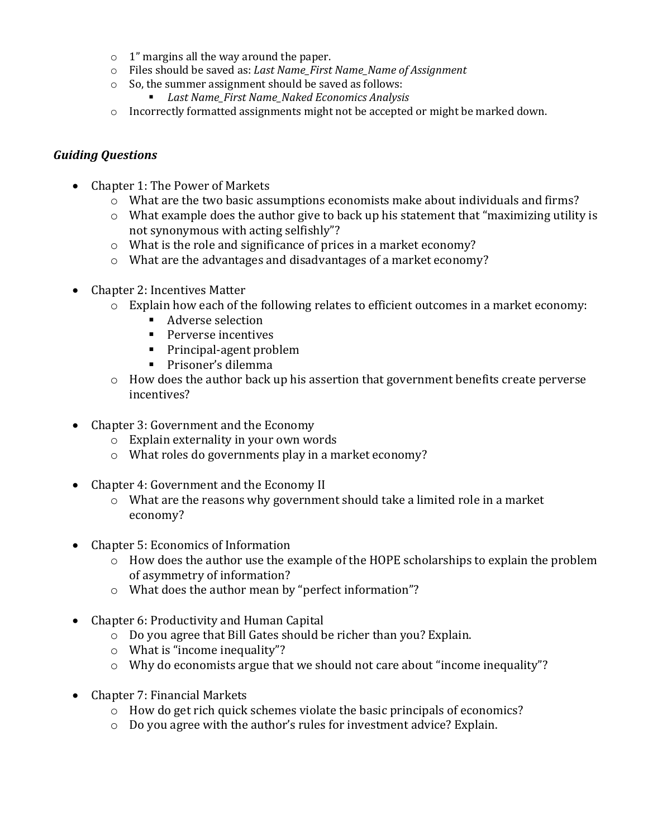- $\circ$  1" margins all the way around the paper.
- $\circ$  Files should be saved as: *Last Name First Name Name of Assignment*
- $\circ$  So, the summer assignment should be saved as follows:
- *Last Name\_First Name\_Naked Economics Analysis*
- $\circ$  Incorrectly formatted assignments might not be accepted or might be marked down.

### *Guiding Questions*

- Chapter 1: The Power of Markets
	- $\circ$  What are the two basic assumptions economists make about individuals and firms?
	- $\circ$  What example does the author give to back up his statement that "maximizing utility is not synonymous with acting selfishly"?
	- $\circ$  What is the role and significance of prices in a market economy?
	- $\circ$  What are the advantages and disadvantages of a market economy?
- Chapter 2: Incentives Matter
	- $\circ$  Explain how each of the following relates to efficient outcomes in a market economy:
		- Adverse selection
		- Perverse incentives
		- Principal-agent problem
		- Prisoner's dilemma
	- $\circ$  How does the author back up his assertion that government benefits create perverse incentives?
- Chapter 3: Government and the Economy
	- $\circ$  Explain externality in your own words
	- $\circ$  What roles do governments play in a market economy?
- Chapter 4: Government and the Economy II
	- $\circ$  What are the reasons why government should take a limited role in a market economy?
- Chapter 5: Economics of Information
	- $\circ$  How does the author use the example of the HOPE scholarships to explain the problem of asymmetry of information?
	- $\circ$  What does the author mean by "perfect information"?
- Chapter 6: Productivity and Human Capital
	- $\circ$  Do you agree that Bill Gates should be richer than you? Explain.
	- $\circ$  What is "income inequality"?
	- o Why do economists argue that we should not care about "income inequality"?
- Chapter 7: Financial Markets
	- $\circ$  How do get rich quick schemes violate the basic principals of economics?
	- $\circ$  Do you agree with the author's rules for investment advice? Explain.